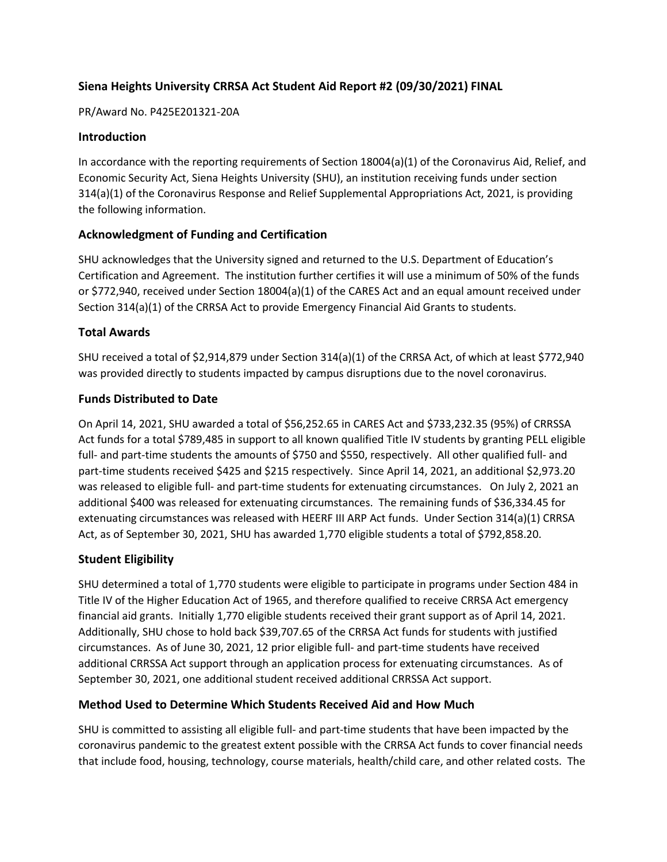# **Siena Heights University CRRSA Act Student Aid Report #2 (09/30/2021) FINAL**

#### PR/Award No. P425E201321-20A

### **Introduction**

In accordance with the reporting requirements of Section 18004(a)(1) of the Coronavirus Aid, Relief, and Economic Security Act, Siena Heights University (SHU), an institution receiving funds under section 314(a)(1) of the Coronavirus Response and Relief Supplemental Appropriations Act, 2021, is providing the following information.

## **Acknowledgment of Funding and Certification**

SHU acknowledges that the University signed and returned to the U.S. Department of Education's Certification and Agreement. The institution further certifies it will use a minimum of 50% of the funds or \$772,940, received under Section 18004(a)(1) of the CARES Act and an equal amount received under Section 314(a)(1) of the CRRSA Act to provide Emergency Financial Aid Grants to students.

## **Total Awards**

SHU received a total of \$2,914,879 under Section 314(a)(1) of the CRRSA Act, of which at least \$772,940 was provided directly to students impacted by campus disruptions due to the novel coronavirus.

## **Funds Distributed to Date**

On April 14, 2021, SHU awarded a total of \$56,252.65 in CARES Act and \$733,232.35 (95%) of CRRSSA Act funds for a total \$789,485 in support to all known qualified Title IV students by granting PELL eligible full- and part-time students the amounts of \$750 and \$550, respectively. All other qualified full- and part-time students received \$425 and \$215 respectively. Since April 14, 2021, an additional \$2,973.20 was released to eligible full- and part-time students for extenuating circumstances. On July 2, 2021 an additional \$400 was released for extenuating circumstances. The remaining funds of \$36,334.45 for extenuating circumstances was released with HEERF III ARP Act funds. Under Section 314(a)(1) CRRSA Act, as of September 30, 2021, SHU has awarded 1,770 eligible students a total of \$792,858.20.

#### **Student Eligibility**

SHU determined a total of 1,770 students were eligible to participate in programs under Section 484 in Title IV of the Higher Education Act of 1965, and therefore qualified to receive CRRSA Act emergency financial aid grants. Initially 1,770 eligible students received their grant support as of April 14, 2021. Additionally, SHU chose to hold back \$39,707.65 of the CRRSA Act funds for students with justified circumstances. As of June 30, 2021, 12 prior eligible full- and part-time students have received additional CRRSSA Act support through an application process for extenuating circumstances. As of September 30, 2021, one additional student received additional CRRSSA Act support.

#### **Method Used to Determine Which Students Received Aid and How Much**

SHU is committed to assisting all eligible full- and part-time students that have been impacted by the coronavirus pandemic to the greatest extent possible with the CRRSA Act funds to cover financial needs that include food, housing, technology, course materials, health/child care, and other related costs. The